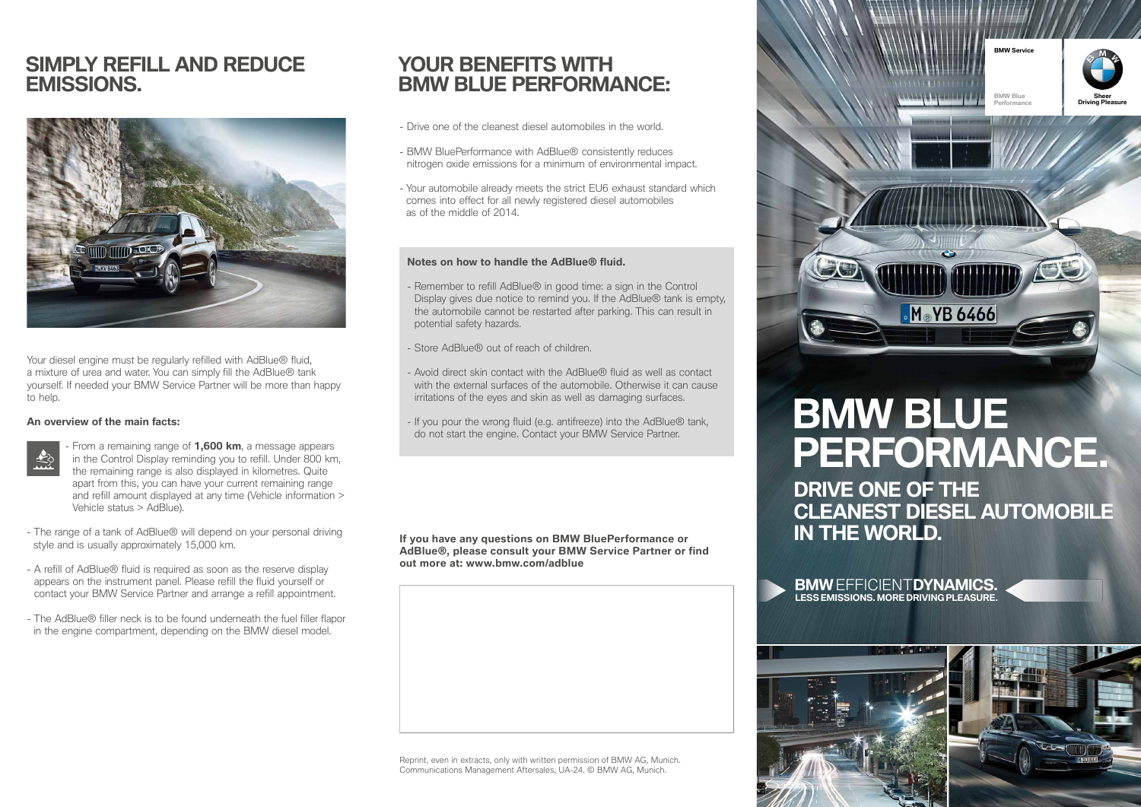# **SIMPLY REFILL AND REDUCE EMISSIONS.**



Your diesel engine must be regularly refilled with AdBlue® fluid, a mixture of urea and water. You can simply fill the AdBlue® tank yourself. If needed your BMW Service Partner will be more than happy to help.

#### **An overview of the main facts:**

- From a remaining range of **1,600 km**, a message appears in the Control Display reminding you to refill. Under 800 km, the remaining range is also displayed in kilometres. Quite apart from this, you can have your current remaining range and refill amount displayed at any time (Vehicle information > Vehicle status > AdBlue).
- The range of a tank of AdBlue® will depend on your personal driving style and is usually approximately 15,000 km.
- A refill of AdBlue® fluid is required as soon as the reserve display appears on the instrument panel. Please refill the fluid yourself or contact your BMW Service Partner and arrange a refill appointment.
- The AdBlue® filler neck is to be found underneath the fuel filler flapor in the engine compartment, depending on the BMW diesel model.

# **YOUR BENEFITS WITH BMW BLUE PERFORMANCE:**

- Drive one of the cleanest diesel automobiles in the world.
- BMW BluePerformance with AdBlue® consistently reduces nitrogen oxide emissions for a minimum of environmental impact.
- Your automobile already meets the strict EU6 exhaust standard which comes into effect for all newly registered diesel automobiles as of the middle of 2014.

#### **Notes on how to handle the AdBlue® fluid.**

- Remember to refill AdBlue® in good time: a sign in the Control Display gives due notice to remind you. If the AdBlue® tank is empty, the automobile cannot be restarted after parking. This can result in potential safety hazards.
- Store AdBlue® out of reach of children.
- Avoid direct skin contact with the AdBlue® fluid as well as contact with the external surfaces of the automobile. Otherwise it can cause irritations of the eyes and skin as well as damaging surfaces.
- If you pour the wrong fluid (e.g. antifreeze) into the AdBlue® tank, do not start the engine. Contact your BMW Service Partner.

**If you have any questions on BMW BluePerformance or AdBlue®, please consult your BMW Service Partner or find out more at: www.bmw.com/adblue**

Reprint, even in extracts, only with written permission of BMW AG, Munich. Communications Management Aftersales, UA-24. © BMW AG, Munich.



# **BMW BLUE PERFORMANCE.**

**DRIVE ONE OF THE CLEANEST DIESEL AUTOMOBILE IN THE WORLD.**

**BMW** EFFICIENT**DYNAMICS. LESS EMISSIONS. MORE DRIVING PLEASURE.**